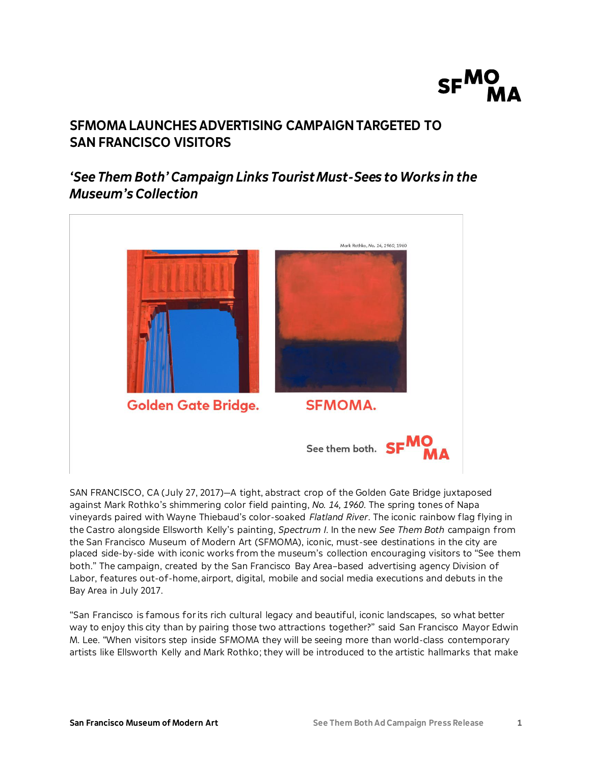

# **SFMOMA LAUNCHES ADVERTISING CAMPAIGN TARGETED TO SAN FRANCISCO VISITORS**

# *'See Them Both' Campaign Links Tourist Must-Sees to Works in the Museum's Collection*



SAN FRANCISCO, CA (July 27, 2017)—A tight, abstract crop of the Golden Gate Bridge juxtaposed against Mark Rothko's shimmering color field painting, *No. 14, 1960*. The spring tones of Napa vineyards paired with Wayne Thiebaud's color-soaked *Flatland River*. The iconic rainbow flag flying in the Castro alongside Ellsworth Kelly's painting, *Spectrum I*. In the new *See Them Both* campaign from the San Francisco Museum of Modern Art (SFMOMA), iconic, must-see destinations in the city are placed side-by-side with iconic works from the museum's collection encouraging visitors to "See them both." The campaign, created by the San Francisco Bay Area–based advertising agency Division of Labor, features out-of-home, airport, digital, mobile and social media executions and debuts in the Bay Area in July 2017.

"San Francisco is famous for its rich cultural legacy and beautiful, iconic landscapes, so what better way to enjoy this city than by pairing those two attractions together?" said San Francisco Mayor Edwin M. Lee. "When visitors step inside SFMOMA they will be seeing more than world-class contemporary artists like Ellsworth Kelly and Mark Rothko; they will be introduced to the artistic hallmarks that make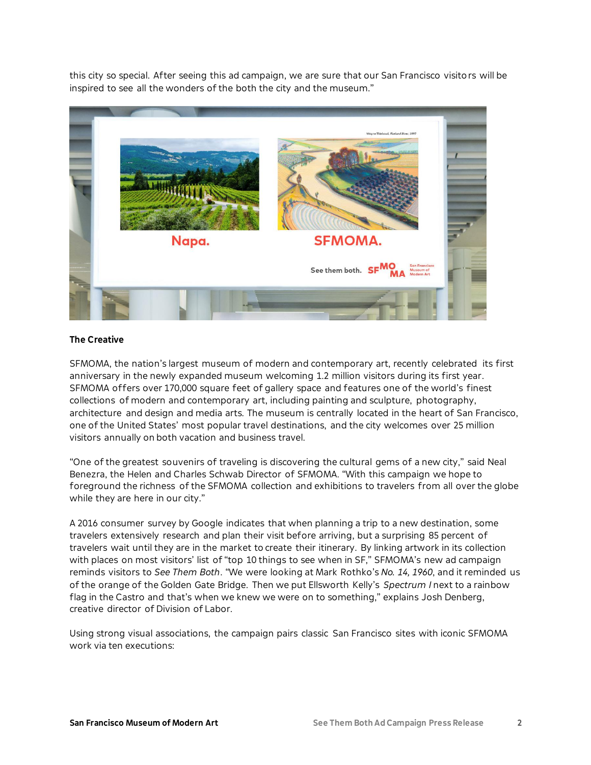this city so special. After seeing this ad campaign, we are sure that our San Francisco visitors will be inspired to see all the wonders of the both the city and the museum."



## **The Creative**

SFMOMA, the nation's largest museum of modern and contemporary art, recently celebrated its first anniversary in the newly expanded museum welcoming 1.2 million visitors during its first year. SFMOMA offers over 170,000 square feet of gallery space and features one of the world's finest collections of modern and contemporary art, including painting and sculpture, photography, architecture and design and media arts. The museum is centrally located in the heart of San Francisco, one of the United States' most popular travel destinations, and the city welcomes over 25 million visitors annually on both vacation and business travel.

"One of the greatest souvenirs of traveling is discovering the cultural gems of a new city," said Neal Benezra, the Helen and Charles Schwab Director of SFMOMA. "With this campaign we hope to foreground the richness of the SFMOMA collection and exhibitions to travelers from all over the globe while they are here in our city."

A 2016 consumer survey by Google indicates that when planning a trip to a new destination, some travelers extensively research and plan their visit before arriving, but a surprising 85 percent of travelers wait until they are in the market to create their itinerary. By linking artwork in its collection with places on most visitors' list of "top 10 things to see when in SF," SFMOMA's new ad campaign reminds visitors to *See Them Both*. "We were looking at Mark Rothko's *No. 14, 1960*, and it reminded us of the orange of the Golden Gate Bridge. Then we put Ellsworth Kelly's *Spectrum I* next to a rainbow flag in the Castro and that's when we knew we were on to something," explains Josh Denberg, creative director of Division of Labor.

Using strong visual associations, the campaign pairs classic San Francisco sites with iconic SFMOMA work via ten executions: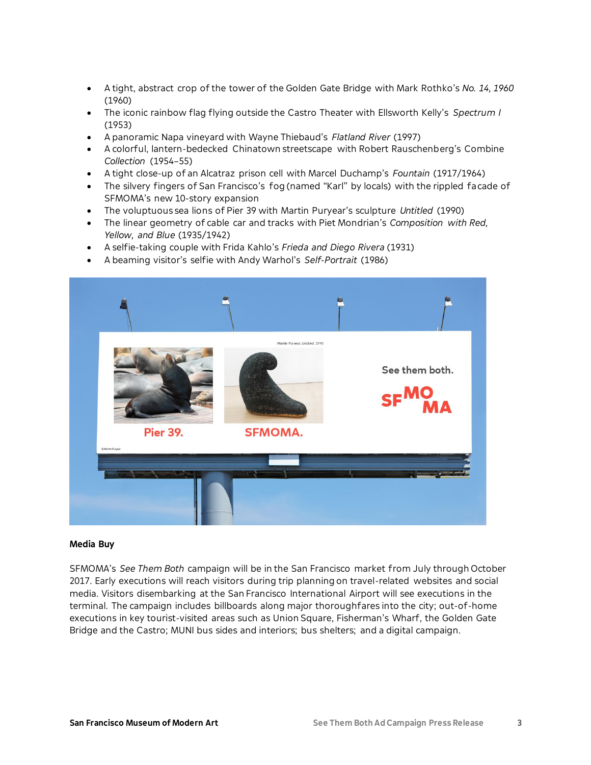- A tight, abstract crop of the tower of the Golden Gate Bridge with Mark Rothko's *No. 14, 1960* (1960)
- The iconic rainbow flag flying outside the Castro Theater with Ellsworth Kelly's *Spectrum I* (1953)
- A panoramic Napa vineyard with Wayne Thiebaud's *Flatland River* (1997)
- A colorful, lantern-bedecked Chinatown streetscape with Robert Rauschenberg's Combine *Collection* (1954–55)
- A tight close-up of an Alcatraz prison cell with Marcel Duchamp's *Fountain* (1917/1964)
- The silvery fingers of San Francisco's fog (named "Karl" by locals) with the rippled facade of SFMOMA's new 10-story expansion
- The voluptuous sea lions of Pier 39 with Martin Puryear's sculpture *Untitled* (1990)
- The linear geometry of cable car and tracks with Piet Mondrian's *Composition with Red, Yellow, and Blue* (1935/1942)
- A selfie-taking couple with Frida Kahlo's *Frieda and Diego Rivera* (1931)
- A beaming visitor's selfie with Andy Warhol's *Self-Portrait* (1986)



#### **Media Buy**

SFMOMA's *See Them Both* campaign will be in the San Francisco market from July through October 2017. Early executions will reach visitors during trip planning on travel-related websites and social media. Visitors disembarking at the San Francisco International Airport will see executions in the terminal. The campaign includes billboards along major thoroughfares into the city; out-of-home executions in key tourist-visited areas such as Union Square, Fisherman's Wharf, the Golden Gate Bridge and the Castro; MUNI bus sides and interiors; bus shelters; and a digital campaign.